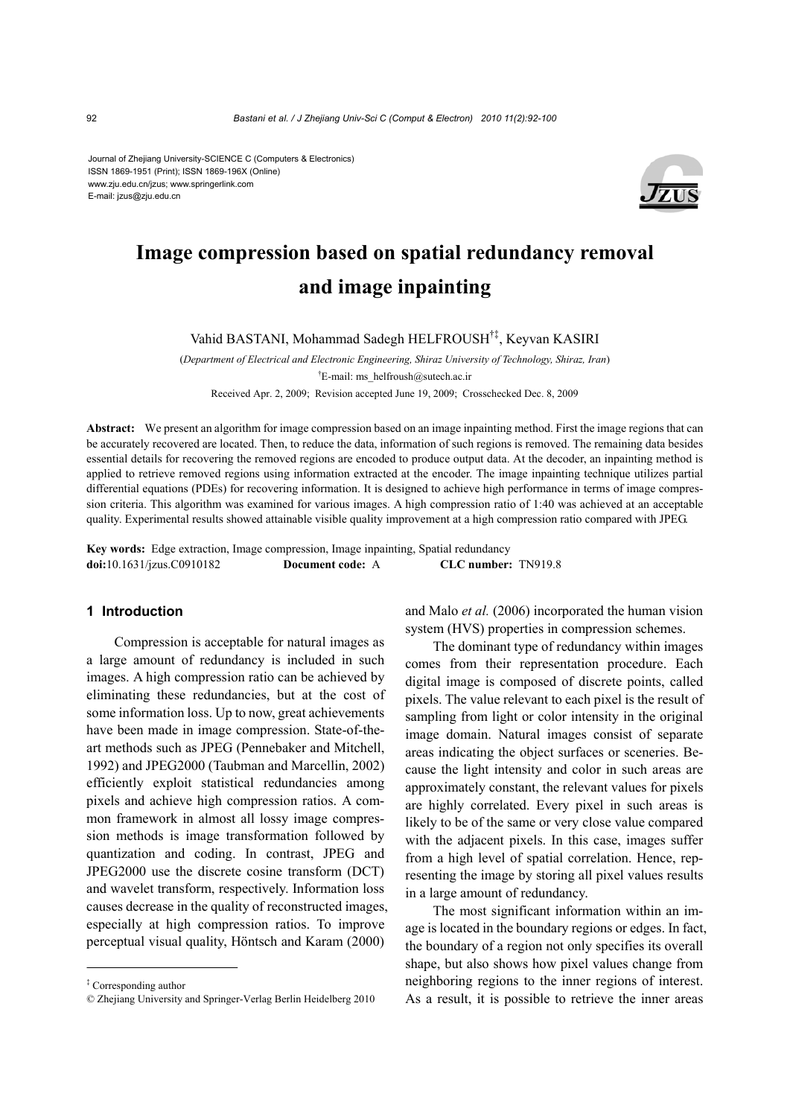Journal of Zhejiang University-SCIENCE C (Computers & Electronics) ISSN 1869-1951 (Print); ISSN 1869-196X (Online) www.zju.edu.cn/jzus; www.springerlink.com E-mail: jzus@zju.edu.cn



# **Image compression based on spatial redundancy removal and image inpainting**

Vahid BASTANI, Mohammad Sadegh HELFROUSH†‡, Keyvan KASIRI

(*Department of Electrical and Electronic Engineering, Shiraz University of Technology, Shiraz, Iran*) † E-mail: ms\_helfroush@sutech.ac.ir Received Apr. 2, 2009; Revision accepted June 19, 2009; Crosschecked Dec. 8, 2009

**Abstract:** We present an algorithm for image compression based on an image inpainting method. First the image regions that can be accurately recovered are located. Then, to reduce the data, information of such regions is removed. The remaining data besides essential details for recovering the removed regions are encoded to produce output data. At the decoder, an inpainting method is applied to retrieve removed regions using information extracted at the encoder. The image inpainting technique utilizes partial differential equations (PDEs) for recovering information. It is designed to achieve high performance in terms of image compression criteria. This algorithm was examined for various images. A high compression ratio of 1:40 was achieved at an acceptable quality. Experimental results showed attainable visible quality improvement at a high compression ratio compared with JPEG.

**Key words:** Edge extraction, Image compression, Image inpainting, Spatial redundancy **doi:**10.1631/jzus.C0910182 **Document code:** A **CLC number:** TN919.8

## **1 Introduction**

Compression is acceptable for natural images as a large amount of redundancy is included in such images. A high compression ratio can be achieved by eliminating these redundancies, but at the cost of some information loss. Up to now, great achievements have been made in image compression. State-of-theart methods such as JPEG (Pennebaker and Mitchell, 1992) and JPEG2000 (Taubman and Marcellin, 2002) efficiently exploit statistical redundancies among pixels and achieve high compression ratios. A common framework in almost all lossy image compression methods is image transformation followed by quantization and coding. In contrast, JPEG and JPEG2000 use the discrete cosine transform (DCT) and wavelet transform, respectively. Information loss causes decrease in the quality of reconstructed images, especially at high compression ratios. To improve perceptual visual quality, Höntsch and Karam (2000)

and Malo *et al.* (2006) incorporated the human vision system (HVS) properties in compression schemes.

The dominant type of redundancy within images comes from their representation procedure. Each digital image is composed of discrete points, called pixels. The value relevant to each pixel is the result of sampling from light or color intensity in the original image domain. Natural images consist of separate areas indicating the object surfaces or sceneries. Because the light intensity and color in such areas are approximately constant, the relevant values for pixels are highly correlated. Every pixel in such areas is likely to be of the same or very close value compared with the adjacent pixels. In this case, images suffer from a high level of spatial correlation. Hence, representing the image by storing all pixel values results in a large amount of redundancy.

The most significant information within an image is located in the boundary regions or edges. In fact, the boundary of a region not only specifies its overall shape, but also shows how pixel values change from neighboring regions to the inner regions of interest. As a result, it is possible to retrieve the inner areas

<sup>‡</sup> Corresponding author

<sup>©</sup> Zhejiang University and Springer-Verlag Berlin Heidelberg 2010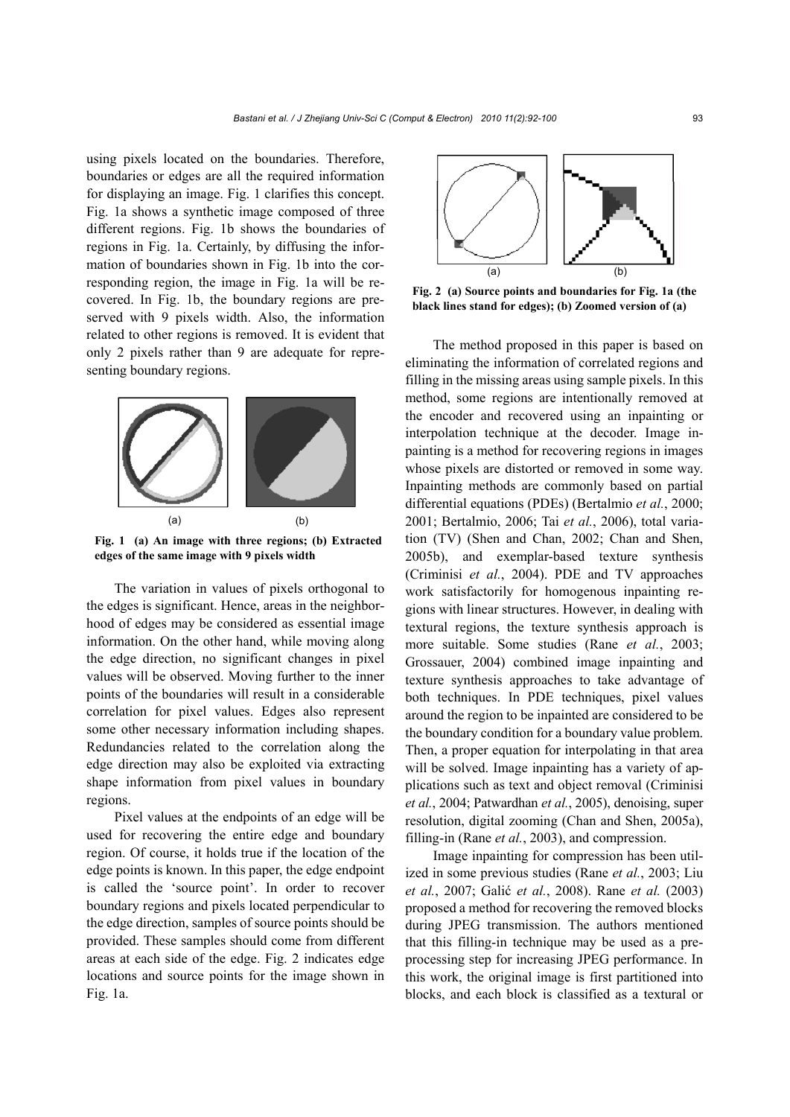using pixels located on the boundaries. Therefore, boundaries or edges are all the required information for displaying an image. Fig. 1 clarifies this concept. Fig. 1a shows a synthetic image composed of three different regions. Fig. 1b shows the boundaries of regions in Fig. 1a. Certainly, by diffusing the information of boundaries shown in Fig. 1b into the corresponding region, the image in Fig. 1a will be recovered. In Fig. 1b, the boundary regions are preserved with 9 pixels width. Also, the information related to other regions is removed. It is evident that only 2 pixels rather than 9 are adequate for representing boundary regions.



**Fig. 1 (a) An image with three regions; (b) Extracted edges of the same image with 9 pixels width**

The variation in values of pixels orthogonal to the edges is significant. Hence, areas in the neighborhood of edges may be considered as essential image information. On the other hand, while moving along the edge direction, no significant changes in pixel values will be observed. Moving further to the inner points of the boundaries will result in a considerable correlation for pixel values. Edges also represent some other necessary information including shapes. Redundancies related to the correlation along the edge direction may also be exploited via extracting shape information from pixel values in boundary regions.

Pixel values at the endpoints of an edge will be used for recovering the entire edge and boundary region. Of course, it holds true if the location of the edge points is known. In this paper, the edge endpoint is called the 'source point'. In order to recover boundary regions and pixels located perpendicular to the edge direction, samples of source points should be provided. These samples should come from different areas at each side of the edge. Fig. 2 indicates edge locations and source points for the image shown in Fig. 1a.



**Fig. 2 (a) Source points and boundaries for Fig. 1a (the black lines stand for edges); (b) Zoomed version of (a)**

The method proposed in this paper is based on eliminating the information of correlated regions and filling in the missing areas using sample pixels. In this method, some regions are intentionally removed at the encoder and recovered using an inpainting or interpolation technique at the decoder. Image inpainting is a method for recovering regions in images whose pixels are distorted or removed in some way. Inpainting methods are commonly based on partial differential equations (PDEs) (Bertalmio *et al.*, 2000; 2001; Bertalmio, 2006; Tai *et al.*, 2006), total variation (TV) (Shen and Chan, 2002; Chan and Shen, 2005b), and exemplar-based texture synthesis (Criminisi *et al.*, 2004). PDE and TV approaches work satisfactorily for homogenous inpainting regions with linear structures. However, in dealing with textural regions, the texture synthesis approach is more suitable. Some studies (Rane *et al.*, 2003; Grossauer, 2004) combined image inpainting and texture synthesis approaches to take advantage of both techniques. In PDE techniques, pixel values around the region to be inpainted are considered to be the boundary condition for a boundary value problem. Then, a proper equation for interpolating in that area will be solved. Image inpainting has a variety of applications such as text and object removal (Criminisi *et al.*, 2004; Patwardhan *et al.*, 2005), denoising, super resolution, digital zooming (Chan and Shen, 2005a), filling-in (Rane *et al.*, 2003), and compression.

Image inpainting for compression has been utilized in some previous studies (Rane *et al.*, 2003; Liu *et al.*, 2007; Galić *et al.*, 2008). Rane *et al.* (2003) proposed a method for recovering the removed blocks during JPEG transmission. The authors mentioned that this filling-in technique may be used as a preprocessing step for increasing JPEG performance. In this work, the original image is first partitioned into blocks, and each block is classified as a textural or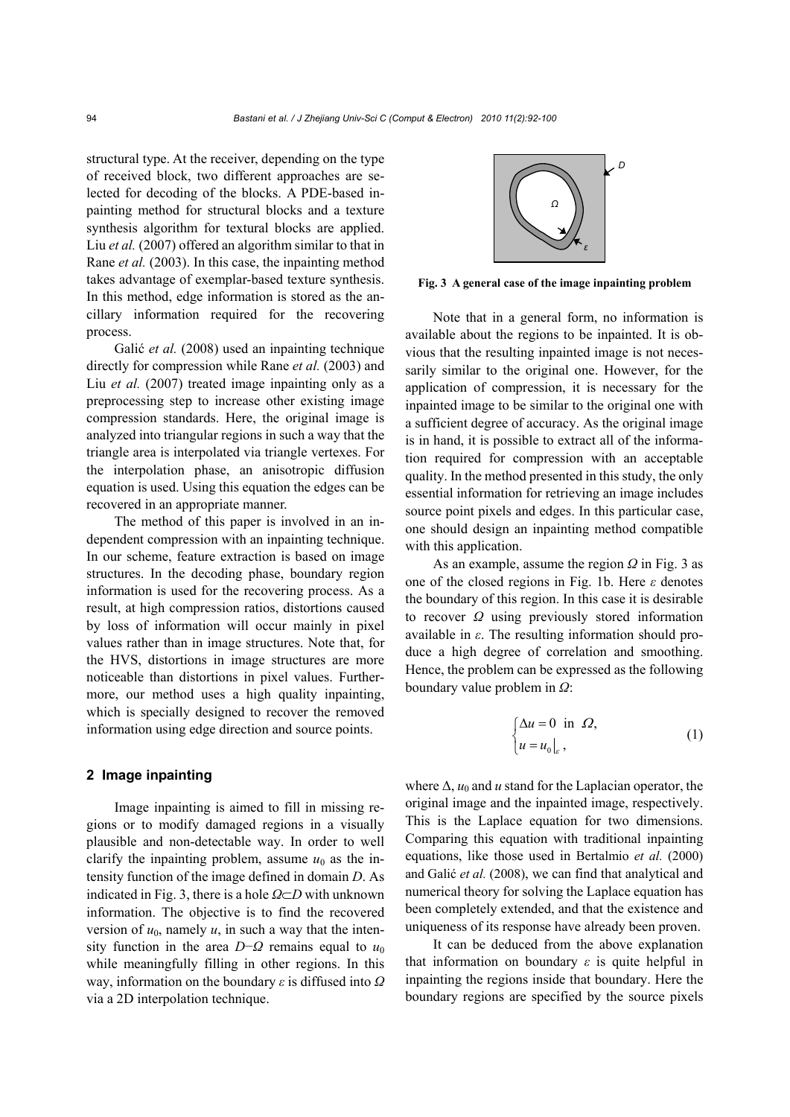structural type. At the receiver, depending on the type of received block, two different approaches are selected for decoding of the blocks. A PDE-based inpainting method for structural blocks and a texture synthesis algorithm for textural blocks are applied. Liu *et al.* (2007) offered an algorithm similar to that in Rane *et al.* (2003). In this case, the inpainting method takes advantage of exemplar-based texture synthesis. In this method, edge information is stored as the ancillary information required for the recovering process.

Galić *et al.* (2008) used an inpainting technique directly for compression while Rane *et al.* (2003) and Liu *et al.* (2007) treated image inpainting only as a preprocessing step to increase other existing image compression standards. Here, the original image is analyzed into triangular regions in such a way that the triangle area is interpolated via triangle vertexes. For the interpolation phase, an anisotropic diffusion equation is used. Using this equation the edges can be recovered in an appropriate manner.

The method of this paper is involved in an independent compression with an inpainting technique. In our scheme, feature extraction is based on image structures. In the decoding phase, boundary region information is used for the recovering process. As a result, at high compression ratios, distortions caused by loss of information will occur mainly in pixel values rather than in image structures. Note that, for the HVS, distortions in image structures are more noticeable than distortions in pixel values. Furthermore, our method uses a high quality inpainting, which is specially designed to recover the removed information using edge direction and source points.

## **2 Image inpainting**

Image inpainting is aimed to fill in missing regions or to modify damaged regions in a visually plausible and non-detectable way. In order to well clarify the inpainting problem, assume  $u_0$  as the intensity function of the image defined in domain *D*. As indicated in Fig. 3, there is a hole *Ω*⊂*D* with unknown information. The objective is to find the recovered version of  $u_0$ , namely  $u$ , in such a way that the intensity function in the area  $D$ −*Ω* remains equal to  $u_0$ while meaningfully filling in other regions. In this way, information on the boundary *ε* is diffused into *Ω* via a 2D interpolation technique.



**Fig. 3 A general case of the image inpainting problem** 

Note that in a general form, no information is available about the regions to be inpainted. It is obvious that the resulting inpainted image is not necessarily similar to the original one. However, for the application of compression, it is necessary for the inpainted image to be similar to the original one with a sufficient degree of accuracy. As the original image is in hand, it is possible to extract all of the information required for compression with an acceptable quality. In the method presented in this study, the only essential information for retrieving an image includes source point pixels and edges. In this particular case, one should design an inpainting method compatible with this application.

As an example, assume the region *Ω* in Fig. 3 as one of the closed regions in Fig. 1b. Here *ε* denotes the boundary of this region. In this case it is desirable to recover *Ω* using previously stored information available in *ε*. The resulting information should produce a high degree of correlation and smoothing. Hence, the problem can be expressed as the following boundary value problem in *Ω*:

$$
\begin{cases} \Delta u = 0 \text{ in } \Omega, \\ u = u_0|_{\varepsilon}, \end{cases}
$$
 (1)

where  $\Delta$ ,  $u_0$  and  $u$  stand for the Laplacian operator, the original image and the inpainted image, respectively. This is the Laplace equation for two dimensions. Comparing this equation with traditional inpainting equations, like those used in Bertalmio *et al.* (2000) and Galić *et al.* (2008), we can find that analytical and numerical theory for solving the Laplace equation has been completely extended, and that the existence and uniqueness of its response have already been proven.

It can be deduced from the above explanation that information on boundary *ε* is quite helpful in inpainting the regions inside that boundary. Here the boundary regions are specified by the source pixels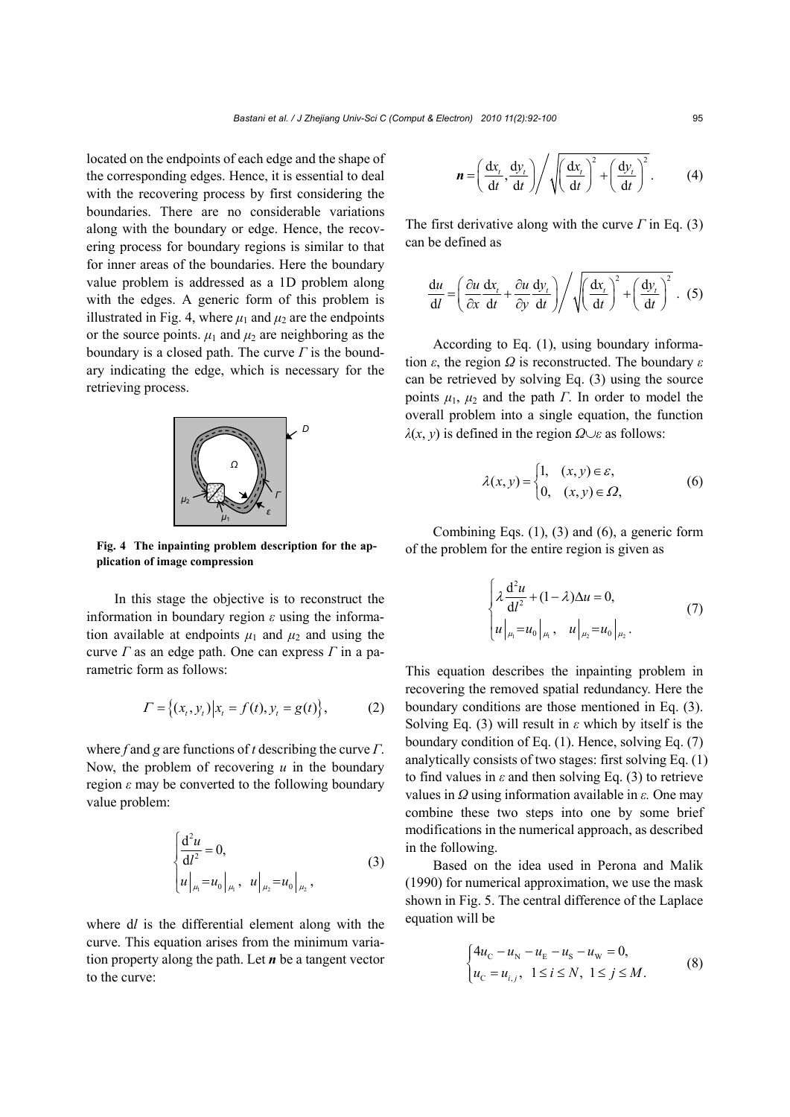located on the endpoints of each edge and the shape of the corresponding edges. Hence, it is essential to deal with the recovering process by first considering the boundaries. There are no considerable variations along with the boundary or edge. Hence, the recovering process for boundary regions is similar to that for inner areas of the boundaries. Here the boundary value problem is addressed as a 1D problem along with the edges. A generic form of this problem is illustrated in Fig. 4, where  $\mu_1$  and  $\mu_2$  are the endpoints or the source points.  $\mu_1$  and  $\mu_2$  are neighboring as the boundary is a closed path. The curve *Γ* is the boundary indicating the edge, which is necessary for the retrieving process.



**Fig. 4 The inpainting problem description for the application of image compression**

In this stage the objective is to reconstruct the information in boundary region *ε* using the information available at endpoints  $\mu_1$  and  $\mu_2$  and using the curve *Γ* as an edge path. One can express *Γ* in a parametric form as follows:

$$
\Gamma = \{(x_t, y_t) | x_t = f(t), y_t = g(t) \},\tag{2}
$$

where *f* and *g* are functions of *t* describing the curve *Γ*. Now, the problem of recovering *u* in the boundary region *ε* may be converted to the following boundary value problem:

$$
\begin{cases} \frac{d^2 u}{dt^2} = 0, \\ u|_{\mu_1} = u_0|_{\mu_1}, \quad u|_{\mu_2} = u_0|_{\mu_2}, \end{cases}
$$
 (3)

where d*l* is the differential element along with the curve. This equation arises from the minimum variation property along the path. Let *n* be a tangent vector to the curve:

$$
\boldsymbol{n} = \left(\frac{\mathrm{d}x_t}{\mathrm{d}t}, \frac{\mathrm{d}y_t}{\mathrm{d}t}\right) / \sqrt{\left(\frac{\mathrm{d}x_t}{\mathrm{d}t}\right)^2 + \left(\frac{\mathrm{d}y_t}{\mathrm{d}t}\right)^2}.
$$
 (4)

The first derivative along with the curve *Γ* in Eq. (3) can be defined as

$$
\frac{du}{dl} = \left(\frac{\partial u}{\partial x}\frac{dx_t}{dt} + \frac{\partial u}{\partial y}\frac{dy_t}{dt}\right) / \sqrt{\left(\frac{dx_t}{dt}\right)^2 + \left(\frac{dy_t}{dt}\right)^2} \quad (5)
$$

According to Eq. (1), using boundary information *ε*, the region *Ω* is reconstructed. The boundary *ε* can be retrieved by solving Eq. (3) using the source points  $\mu_1$ ,  $\mu_2$  and the path *Γ*. In order to model the overall problem into a single equation, the function  $λ(x, y)$  is defined in the region  $Ω∪ε$  as follows:

$$
\lambda(x, y) = \begin{cases} 1, & (x, y) \in \varepsilon, \\ 0, & (x, y) \in \Omega, \end{cases}
$$
 (6)

Combining Eqs. (1), (3) and (6), a generic form of the problem for the entire region is given as

$$
\begin{cases} \lambda \frac{d^2 u}{dl^2} + (1 - \lambda) \Delta u = 0, \\ u|_{\mu_1} = u_0|_{\mu_1}, \quad u|_{\mu_2} = u_0|_{\mu_2}. \end{cases}
$$
 (7)

This equation describes the inpainting problem in recovering the removed spatial redundancy. Here the boundary conditions are those mentioned in Eq. (3). Solving Eq. (3) will result in *ε* which by itself is the boundary condition of Eq. (1). Hence, solving Eq. (7) analytically consists of two stages: first solving Eq. (1) to find values in *ε* and then solving Eq. (3) to retrieve values in *Ω* using information available in *ε.* One may combine these two steps into one by some brief modifications in the numerical approach, as described in the following.

Based on the idea used in Perona and Malik (1990) for numerical approximation, we use the mask shown in Fig. 5. The central difference of the Laplace equation will be

$$
\begin{cases} 4u_{\rm C} - u_{\rm N} - u_{\rm E} - u_{\rm S} - u_{\rm W} = 0, \\ u_{\rm C} = u_{i,j}, \ \ 1 \leq i \leq N, \ \ 1 \leq j \leq M. \end{cases} \tag{8}
$$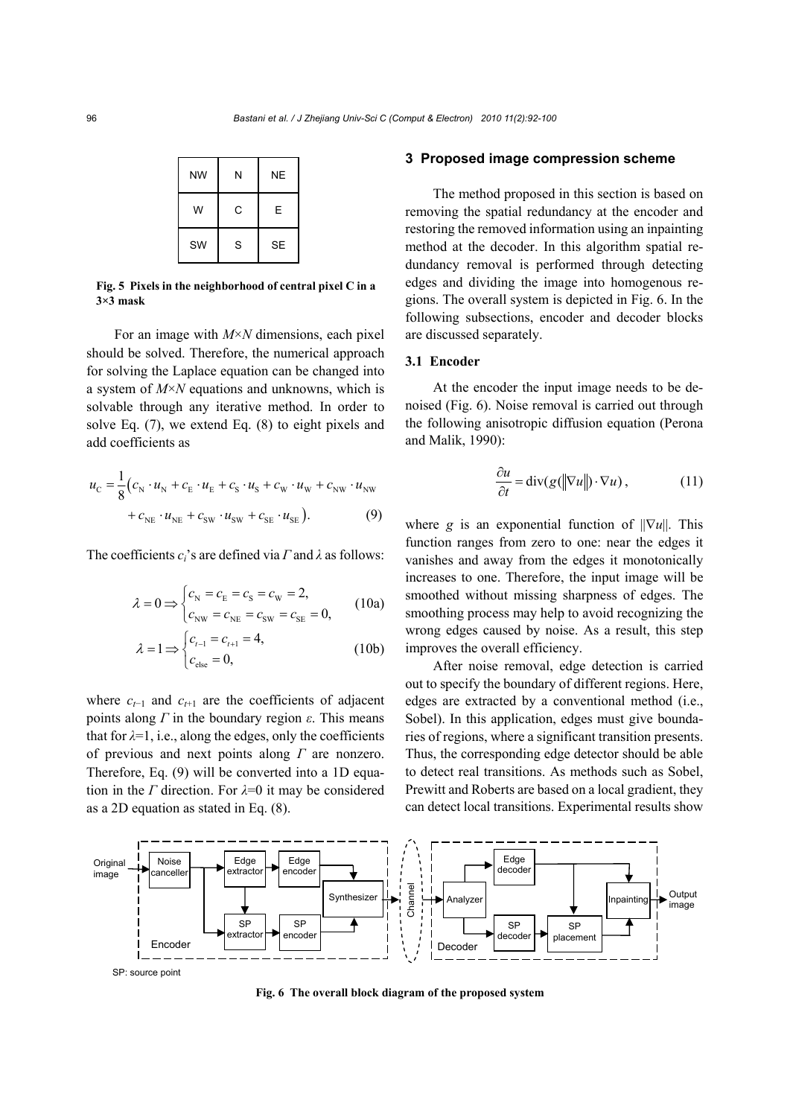| <b>NW</b> | N | <b>NE</b> |  |
|-----------|---|-----------|--|
| W         | C | E         |  |
| SW        | S | <b>SE</b> |  |

**Fig. 5 Pixels in the neighborhood of central pixel C in a 3×3 mask**

For an image with *M*×*N* dimensions, each pixel should be solved. Therefore, the numerical approach for solving the Laplace equation can be changed into a system of *M*×*N* equations and unknowns, which is solvable through any iterative method. In order to solve Eq. (7), we extend Eq. (8) to eight pixels and add coefficients as

$$
u_{\rm C} = \frac{1}{8} \left( c_{\rm N} \cdot u_{\rm N} + c_{\rm E} \cdot u_{\rm E} + c_{\rm S} \cdot u_{\rm S} + c_{\rm W} \cdot u_{\rm W} + c_{\rm NW} \cdot u_{\rm NW} \right. \\ \left. + c_{\rm NE} \cdot u_{\rm NE} + c_{\rm SW} \cdot u_{\rm SW} + c_{\rm SE} \cdot u_{\rm SE} \right). \tag{9}
$$

The coefficients *ci*'s are defined via *Γ* and *λ* as follows:

$$
\lambda = 0 \Longrightarrow \begin{cases} c_{\rm N} = c_{\rm E} = c_{\rm S} = c_{\rm w} = 2, \\ c_{\rm NW} = c_{\rm NE} = c_{\rm SW} = c_{\rm SE} = 0, \end{cases}
$$
 (10a)

$$
\lambda = 1 \Longrightarrow \begin{cases} c_{t-1} = c_{t+1} = 4, \\ c_{\text{else}} = 0, \end{cases}
$$
 (10b)

where  $c_{t-1}$  and  $c_{t+1}$  are the coefficients of adjacent points along *Γ* in the boundary region *ε*. This means that for  $\lambda=1$ , i.e., along the edges, only the coefficients of previous and next points along *Γ* are nonzero. Therefore, Eq. (9) will be converted into a 1D equation in the *Γ* direction. For *λ*=0 it may be considered as a 2D equation as stated in Eq. (8).

# **3 Proposed image compression scheme**

The method proposed in this section is based on removing the spatial redundancy at the encoder and restoring the removed information using an inpainting method at the decoder. In this algorithm spatial redundancy removal is performed through detecting edges and dividing the image into homogenous regions. The overall system is depicted in Fig. 6. In the following subsections, encoder and decoder blocks are discussed separately.

# **3.1 Encoder**

At the encoder the input image needs to be denoised (Fig. 6). Noise removal is carried out through the following anisotropic diffusion equation (Perona and Malik, 1990):

$$
\frac{\partial u}{\partial t} = \text{div}(g(||\nabla u||) \cdot \nabla u),\tag{11}
$$

where *g* is an exponential function of  $||\nabla u||$ . This function ranges from zero to one: near the edges it vanishes and away from the edges it monotonically increases to one. Therefore, the input image will be smoothed without missing sharpness of edges. The smoothing process may help to avoid recognizing the wrong edges caused by noise. As a result, this step improves the overall efficiency.

After noise removal, edge detection is carried out to specify the boundary of different regions. Here, edges are extracted by a conventional method (i.e., Sobel). In this application, edges must give boundaries of regions, where a significant transition presents. Thus, the corresponding edge detector should be able to detect real transitions. As methods such as Sobel, Prewitt and Roberts are based on a local gradient, they can detect local transitions. Experimental results show



**Fig. 6 The overall block diagram of the proposed system**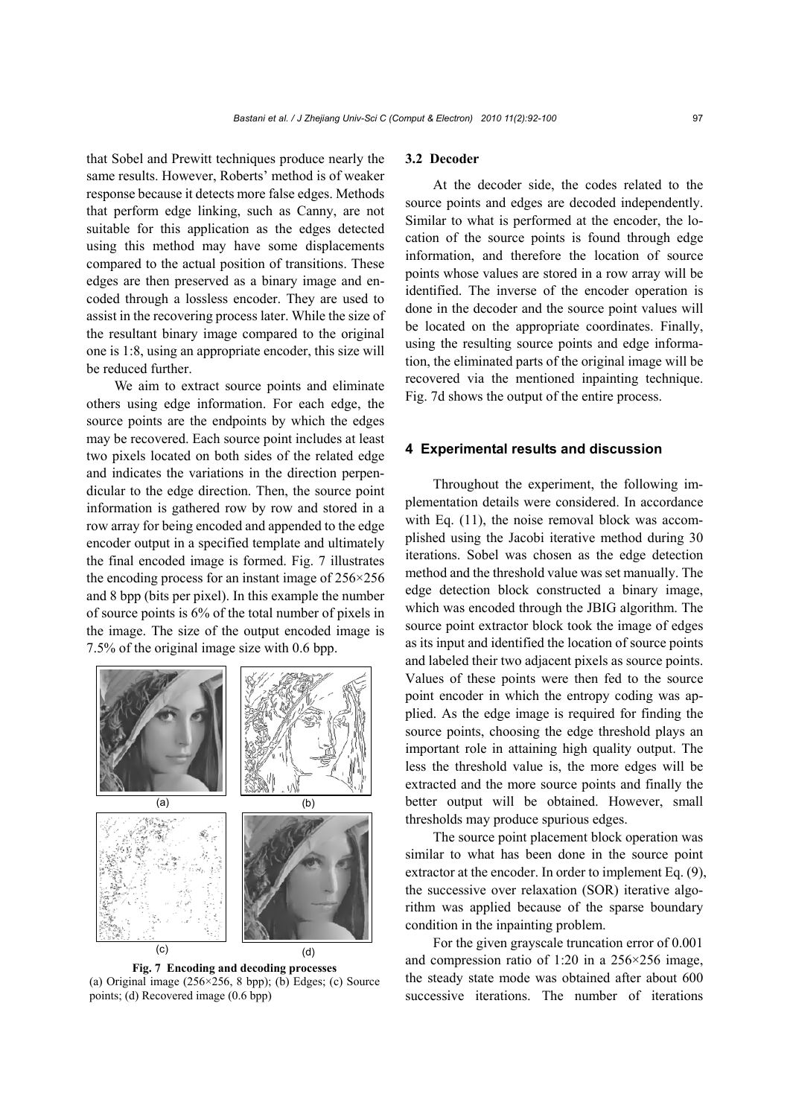that Sobel and Prewitt techniques produce nearly the same results. However, Roberts' method is of weaker response because it detects more false edges. Methods that perform edge linking, such as Canny, are not suitable for this application as the edges detected using this method may have some displacements compared to the actual position of transitions. These edges are then preserved as a binary image and encoded through a lossless encoder. They are used to assist in the recovering process later. While the size of the resultant binary image compared to the original one is 1:8, using an appropriate encoder, this size will be reduced further.

We aim to extract source points and eliminate others using edge information. For each edge, the source points are the endpoints by which the edges may be recovered. Each source point includes at least two pixels located on both sides of the related edge and indicates the variations in the direction perpendicular to the edge direction. Then, the source point information is gathered row by row and stored in a row array for being encoded and appended to the edge encoder output in a specified template and ultimately the final encoded image is formed. Fig. 7 illustrates the encoding process for an instant image of 256×256 and 8 bpp (bits per pixel). In this example the number of source points is 6% of the total number of pixels in the image. The size of the output encoded image is 7.5% of the original image size with 0.6 bpp.



**Fig. 7 Encoding and decoding processes**  (a) Original image  $(256\times256, 8 \text{ bpp})$ ; (b) Edges; (c) Source points; (d) Recovered image (0.6 bpp)

# **3.2 Decoder**

At the decoder side, the codes related to the source points and edges are decoded independently. Similar to what is performed at the encoder, the location of the source points is found through edge information, and therefore the location of source points whose values are stored in a row array will be identified. The inverse of the encoder operation is done in the decoder and the source point values will be located on the appropriate coordinates. Finally, using the resulting source points and edge information, the eliminated parts of the original image will be recovered via the mentioned inpainting technique. Fig. 7d shows the output of the entire process.

#### **4 Experimental results and discussion**

Throughout the experiment, the following implementation details were considered. In accordance with Eq.  $(11)$ , the noise removal block was accomplished using the Jacobi iterative method during 30 iterations. Sobel was chosen as the edge detection method and the threshold value was set manually. The edge detection block constructed a binary image, which was encoded through the JBIG algorithm. The source point extractor block took the image of edges as its input and identified the location of source points and labeled their two adjacent pixels as source points. Values of these points were then fed to the source point encoder in which the entropy coding was applied. As the edge image is required for finding the source points, choosing the edge threshold plays an important role in attaining high quality output. The less the threshold value is, the more edges will be extracted and the more source points and finally the better output will be obtained. However, small thresholds may produce spurious edges.

The source point placement block operation was similar to what has been done in the source point extractor at the encoder. In order to implement Eq. (9), the successive over relaxation (SOR) iterative algorithm was applied because of the sparse boundary condition in the inpainting problem.

For the given grayscale truncation error of 0.001 and compression ratio of 1:20 in a 256×256 image, the steady state mode was obtained after about 600 successive iterations. The number of iterations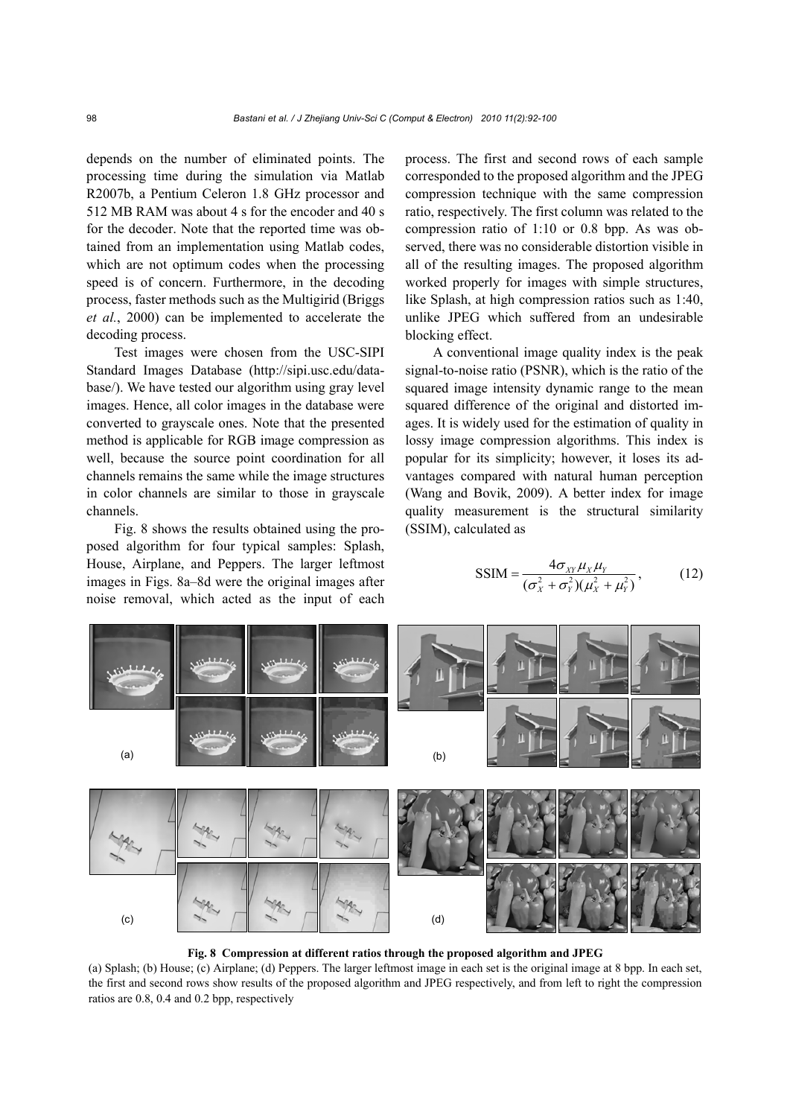depends on the number of eliminated points. The processing time during the simulation via Matlab R2007b, a Pentium Celeron 1.8 GHz processor and 512 MB RAM was about 4 s for the encoder and 40 s for the decoder. Note that the reported time was obtained from an implementation using Matlab codes, which are not optimum codes when the processing speed is of concern. Furthermore, in the decoding process, faster methods such as the Multigirid (Briggs *et al.*, 2000) can be implemented to accelerate the decoding process.

Test images were chosen from the USC-SIPI Standard Images Database (http://sipi.usc.edu/database/). We have tested our algorithm using gray level images. Hence, all color images in the database were converted to grayscale ones. Note that the presented method is applicable for RGB image compression as well, because the source point coordination for all channels remains the same while the image structures in color channels are similar to those in grayscale channels.

Fig. 8 shows the results obtained using the proposed algorithm for four typical samples: Splash, House, Airplane, and Peppers. The larger leftmost images in Figs. 8a–8d were the original images after noise removal, which acted as the input of each process. The first and second rows of each sample corresponded to the proposed algorithm and the JPEG compression technique with the same compression ratio, respectively. The first column was related to the compression ratio of 1:10 or 0.8 bpp. As was observed, there was no considerable distortion visible in all of the resulting images. The proposed algorithm worked properly for images with simple structures, like Splash, at high compression ratios such as 1:40, unlike JPEG which suffered from an undesirable blocking effect.

A conventional image quality index is the peak signal-to-noise ratio (PSNR), which is the ratio of the squared image intensity dynamic range to the mean squared difference of the original and distorted images. It is widely used for the estimation of quality in lossy image compression algorithms. This index is popular for its simplicity; however, it loses its advantages compared with natural human perception (Wang and Bovik, 2009). A better index for image quality measurement is the structural similarity (SSIM), calculated as

$$
SSIM = \frac{4\sigma_{XY}\mu_X\mu_Y}{(\sigma_X^2 + \sigma_Y^2)(\mu_X^2 + \mu_Y^2)},
$$
 (12)



**Fig. 8 Compression at different ratios through the proposed algorithm and JPEG** 

(a) Splash; (b) House; (c) Airplane; (d) Peppers. The larger leftmost image in each set is the original image at 8 bpp. In each set, the first and second rows show results of the proposed algorithm and JPEG respectively, and from left to right the compression ratios are 0.8, 0.4 and 0.2 bpp, respectively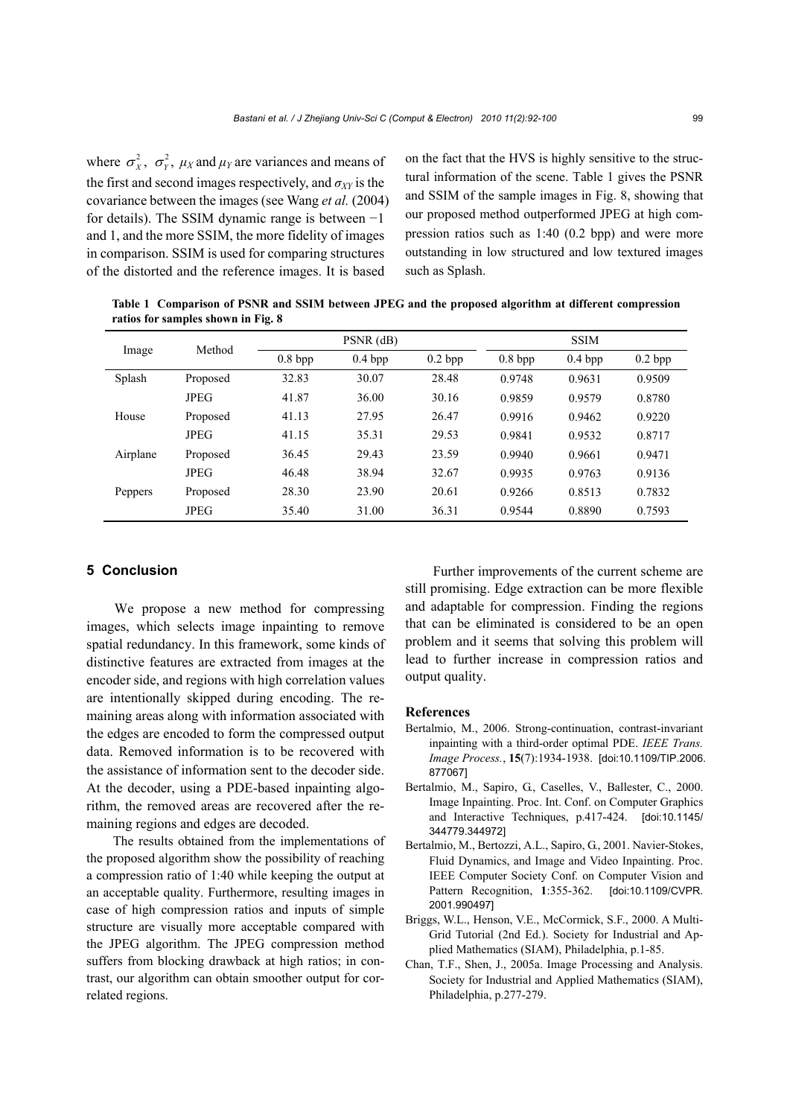where  $\sigma_X^2$ ,  $\sigma_Y^2$ ,  $\mu_X$  and  $\mu_Y$  are variances and means of the first and second images respectively, and  $\sigma_{yy}$  is the covariance between the images (see Wang *et al.* (2004) for details). The SSIM dynamic range is between −1 and 1, and the more SSIM, the more fidelity of images in comparison. SSIM is used for comparing structures of the distorted and the reference images. It is based

on the fact that the HVS is highly sensitive to the structural information of the scene. Table 1 gives the PSNR and SSIM of the sample images in Fig. 8, showing that our proposed method outperformed JPEG at high compression ratios such as 1:40 (0.2 bpp) and were more outstanding in low structured and low textured images such as Splash.

**Table 1 Comparison of PSNR and SSIM between JPEG and the proposed algorithm at different compression ratios for samples shown in Fig. 8**

| Image    | Method      |           | $PSNR$ (dB) |           |           | <b>SSIM</b> |           |
|----------|-------------|-----------|-------------|-----------|-----------|-------------|-----------|
|          |             | $0.8$ bpp | $0.4$ bpp   | $0.2$ bpp | $0.8$ bpp | $0.4$ bpp   | $0.2$ bpp |
| Splash   | Proposed    | 32.83     | 30.07       | 28.48     | 0.9748    | 0.9631      | 0.9509    |
|          | JPEG        | 41.87     | 36.00       | 30.16     | 0.9859    | 0.9579      | 0.8780    |
| House    | Proposed    | 41.13     | 27.95       | 26.47     | 0.9916    | 0.9462      | 0.9220    |
|          | JPEG        | 41.15     | 35.31       | 29.53     | 0.9841    | 0.9532      | 0.8717    |
| Airplane | Proposed    | 36.45     | 29.43       | 23.59     | 0.9940    | 0.9661      | 0.9471    |
|          | <b>JPEG</b> | 46.48     | 38.94       | 32.67     | 0.9935    | 0.9763      | 0.9136    |
| Peppers  | Proposed    | 28.30     | 23.90       | 20.61     | 0.9266    | 0.8513      | 0.7832    |
|          | <b>JPEG</b> | 35.40     | 31.00       | 36.31     | 0.9544    | 0.8890      | 0.7593    |

# **5 Conclusion**

We propose a new method for compressing images, which selects image inpainting to remove spatial redundancy. In this framework, some kinds of distinctive features are extracted from images at the encoder side, and regions with high correlation values are intentionally skipped during encoding. The remaining areas along with information associated with the edges are encoded to form the compressed output data. Removed information is to be recovered with the assistance of information sent to the decoder side. At the decoder, using a PDE-based inpainting algorithm, the removed areas are recovered after the remaining regions and edges are decoded.

The results obtained from the implementations of the proposed algorithm show the possibility of reaching a compression ratio of 1:40 while keeping the output at an acceptable quality. Furthermore, resulting images in case of high compression ratios and inputs of simple structure are visually more acceptable compared with the JPEG algorithm. The JPEG compression method suffers from blocking drawback at high ratios; in contrast, our algorithm can obtain smoother output for correlated regions.

Further improvements of the current scheme are still promising. Edge extraction can be more flexible and adaptable for compression. Finding the regions that can be eliminated is considered to be an open problem and it seems that solving this problem will lead to further increase in compression ratios and output quality.

#### **References**

- Bertalmio, M., 2006. Strong-continuation, contrast-invariant inpainting with a third-order optimal PDE. *IEEE Trans. Image Process.*, **15**(7):1934-1938. [doi:10.1109/TIP.2006. 877067]
- Bertalmio, M., Sapiro, G., Caselles, V., Ballester, C., 2000. Image Inpainting. Proc. Int. Conf. on Computer Graphics and Interactive Techniques, p.417-424. [doi:10.1145/ 344779.344972]
- Bertalmio, M., Bertozzi, A.L., Sapiro, G., 2001. Navier-Stokes, Fluid Dynamics, and Image and Video Inpainting. Proc. IEEE Computer Society Conf. on Computer Vision and Pattern Recognition, **1**:355-362. [doi:10.1109/CVPR. 2001.990497]
- Briggs, W.L., Henson, V.E., McCormick, S.F., 2000. A Multi-Grid Tutorial (2nd Ed.). Society for Industrial and Applied Mathematics (SIAM), Philadelphia, p.1-85.
- Chan, T.F., Shen, J., 2005a. Image Processing and Analysis. Society for Industrial and Applied Mathematics (SIAM), Philadelphia, p.277-279.